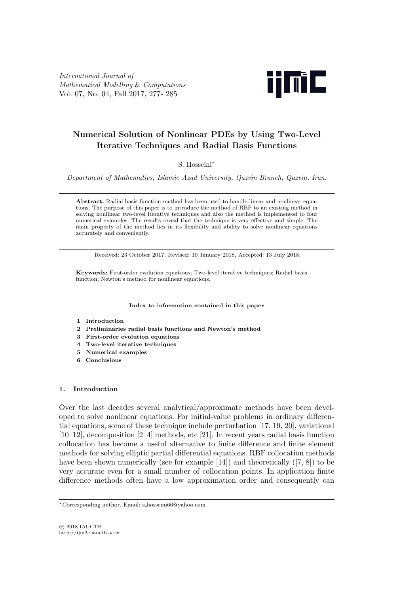International Journal of Mathematical Modelling & Computations Vol. 07, No. 04, Fall 2017, 277- 285



# Numerical Solution of Nonlinear PDEs by Using Two-Level Iterative Techniques and Radial Basis Functions

S. Hosseini<sup>∗</sup>

Department of Mathematics, Islamic Azad University, Qazvin Branch, Qazvin, Iran.

Abstract. Radial basis function method has been used to handle linear and nonlinear equations. The purpose of this paper is to introduce the method of RBF to an existing method in solving nonlinear two-level iterative techniques and also the method is implemented to four numerical examples. The results reveal that the technique is very effective and simple. The main property of the method lies in its flexibility and ability to solve nonlinear equations accurately and conveniently.

Received: 23 October 2017, Revised: 10 January 2018, Accepted: 13 July 2018.

Keywords: First-order evolution equations; Two-level iterative techniques; Radial basis function; Newton's method for nonlinear equations.

Index to information contained in this paper

- 1 Introduction
- 2 Preliminaries radial basis functions and Newton's method
- 3 First-order evolution equations
- 4 Two-level iterative techniques
- 5 Numerical examples
- 6 Conclusions

## 1. Introduction

Over the last decades several analytical/approximate methods have been developed to solve nonlinear equations. For initial-value problems in ordinary differential equations, some of these technique include perturbation [17, 19, 20], variational [10–12], decomposition [2–4] methods, etc [21]. In recent years radial basis function collocation has become a useful alternative to finite difference and finite element methods for solving elliptic partial differential equations. RBF collocation methods have been shown numerically (see for example [14]) and theoretically ([7, 8]) to be very accurate even for a small number of collocation points. In application finite difference methods often have a low approximation order and consequently can

<sup>∗</sup>Corresponding author. Email: s hosseini66@yahoo.com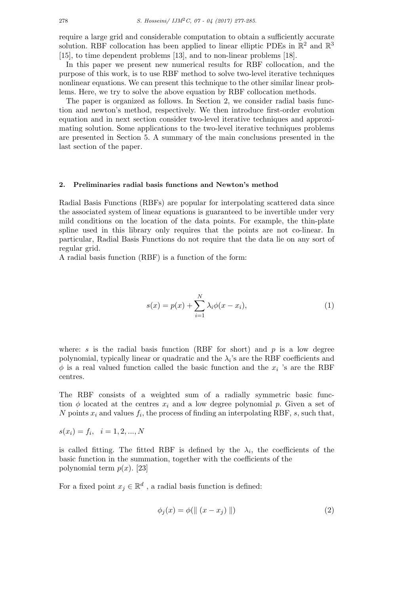require a large grid and considerable computation to obtain a sufficiently accurate solution. RBF collocation has been applied to linear elliptic PDEs in  $\mathbb{R}^2$  and  $\mathbb{R}^3$ [15], to time dependent problems [13], and to non-linear problems [18].

In this paper we present new numerical results for RBF collocation, and the purpose of this work, is to use RBF method to solve two-level iterative techniques nonlinear equations. We can present this technique to the other similar linear problems. Here, we try to solve the above equation by RBF collocation methods.

The paper is organized as follows. In Section 2, we consider radial basis function and newton's method, respectively. We then introduce first-order evolution equation and in next section consider two-level iterative techniques and approximating solution. Some applications to the two-level iterative techniques problems are presented in Section 5. A summary of the main conclusions presented in the last section of the paper.

#### 2. Preliminaries radial basis functions and Newton's method

Radial Basis Functions (RBFs) are popular for interpolating scattered data since the associated system of linear equations is guaranteed to be invertible under very mild conditions on the location of the data points. For example, the thin-plate spline used in this library only requires that the points are not co-linear. In particular, Radial Basis Functions do not require that the data lie on any sort of regular grid.

A radial basis function (RBF) is a function of the form:

$$
s(x) = p(x) + \sum_{i=1}^{N} \lambda_i \phi(x - x_i),
$$
 (1)

where: s is the radial basis function (RBF for short) and p is a low degree polynomial, typically linear or quadratic and the  $\lambda_i$ 's are the RBF coefficients and  $\phi$  is a real valued function called the basic function and the  $x_i$  's are the RBF centres.

The RBF consists of a weighted sum of a radially symmetric basic function  $\phi$  located at the centres  $x_i$  and a low degree polynomial p. Given a set of N points  $x_i$  and values  $f_i$ , the process of finding an interpolating RBF, s, such that,

$$
s(x_i) = f_i, \quad i = 1, 2, ..., N
$$

is called fitting. The fitted RBF is defined by the  $\lambda_i$ , the coefficients of the basic function in the summation, together with the coefficients of the polynomial term  $p(x)$ . [23]

For a fixed point  $x_j \in \mathbb{R}^d$ , a radial basis function is defined:

$$
\phi_j(x) = \phi(|| (x - x_j) ||) \tag{2}
$$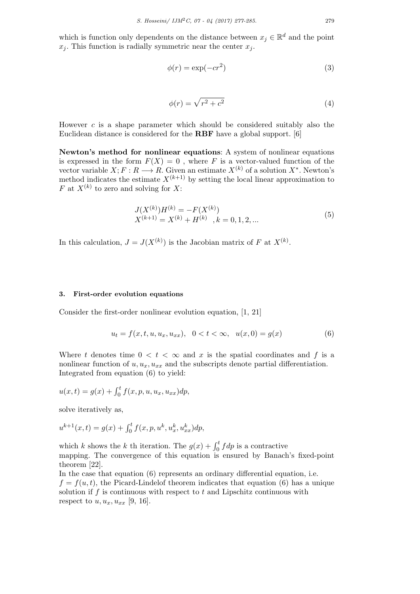which is function only dependents on the distance between  $x_j \in \mathbb{R}^d$  and the point  $x_j$ . This function is radially symmetric near the center  $x_j$ .

$$
\phi(r) = \exp(-cr^2) \tag{3}
$$

$$
\phi(r) = \sqrt{r^2 + c^2} \tag{4}
$$

However c is a shape parameter which should be considered suitably also the Euclidean distance is considered for the RBF have a global support. [6]

Newton's method for nonlinear equations: A system of nonlinear equations is expressed in the form  $F(X) = 0$ , where F is a vector-valued function of the vector variable  $X; F: R \longrightarrow R$ . Given an estimate  $X^{(k)}$  of a solution  $X^*$ . Newton's method indicates the estimate  $X^{(k+1)}$  by setting the local linear approximation to F at  $X^{(k)}$  to zero and solving for X:

$$
J(X^{(k)})H^{(k)} = -F(X^{(k)})
$$
  
\n
$$
X^{(k+1)} = X^{(k)} + H^{(k)}, k = 0, 1, 2, ...
$$
\n(5)

In this calculation,  $J = J(X^{(k)})$  is the Jacobian matrix of F at  $X^{(k)}$ .

#### 3. First-order evolution equations

Consider the first-order nonlinear evolution equation, [1, 21]

$$
u_t = f(x, t, u, u_x, u_{xx}), \quad 0 < t < \infty, \quad u(x, 0) = g(x) \tag{6}
$$

Where t denotes time  $0 < t < \infty$  and x is the spatial coordinates and f is a nonlinear function of  $u, u_x, u_{xx}$  and the subscripts denote partial differentiation. Integrated from equation (6) to yield:

$$
u(x,t) = g(x) + \int_0^t f(x, p, u, u_x, u_{xx}) dp,
$$

solve iteratively as,

$$
u^{k+1}(x,t) = g(x) + \int_0^t f(x, p, u^k, u^k_x, u^k_{xx}) dp,
$$

which k shows the k th iteration. The  $g(x) + \int_0^t f dp$  is a contractive mapping. The convergence of this equation is ensured by Banach's fixed-point theorem [22].

In the case that equation (6) represents an ordinary differential equation, i.e.  $f = f(u, t)$ , the Picard-Lindelof theorem indicates that equation (6) has a unique solution if  $f$  is continuous with respect to  $t$  and Lipschitz continuous with respect to  $u, u_x, u_{xx}$  [9, 16].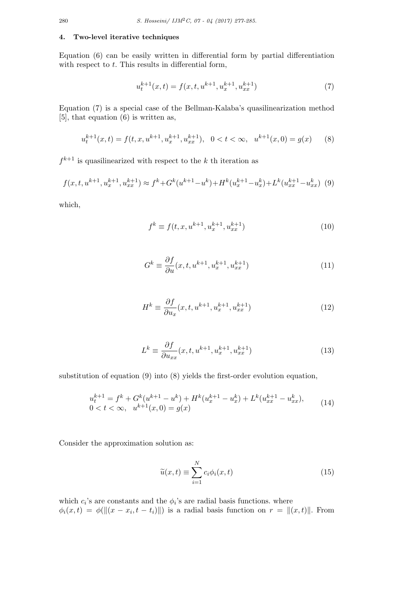#### 4. Two-level iterative techniques

Equation (6) can be easily written in differential form by partial differentiation with respect to  $t$ . This results in differential form,

$$
u_t^{k+1}(x,t) = f(x,t, u^{k+1}, u_x^{k+1}, u_{xx}^{k+1})
$$
\n(7)

Equation (7) is a special case of the Bellman-Kalaba's quasilinearization method [5], that equation (6) is written as,

$$
u_t^{k+1}(x,t) = f(t, x, u^{k+1}, u_x^{k+1}, u_{xx}^{k+1}), \quad 0 < t < \infty, \quad u^{k+1}(x, 0) = g(x) \tag{8}
$$

 $f^{k+1}$  is quasilinearized with respect to the k th iteration as

$$
f(x, t, u^{k+1}, u_x^{k+1}, u_{xx}^{k+1}) \approx f^k + G^k(u^{k+1} - u^k) + H^k(u_x^{k+1} - u_x^k) + L^k(u_{xx}^{k+1} - u_{xx}^k)
$$
 (9)

which,

$$
f^{k} \equiv f(t, x, u^{k+1}, u_x^{k+1}, u_{xx}^{k+1})
$$
\n(10)

$$
G^k \equiv \frac{\partial f}{\partial u}(x, t, u^{k+1}, u_x^{k+1}, u_{xx}^{k+1})
$$
\n(11)

$$
H^k \equiv \frac{\partial f}{\partial u_x}(x, t, u^{k+1}, u_x^{k+1}, u_{xx}^{k+1})
$$
\n(12)

$$
L^k \equiv \frac{\partial f}{\partial u_{xx}}(x, t, u^{k+1}, u_x^{k+1}, u_{xx}^{k+1})
$$
\n(13)

substitution of equation (9) into (8) yields the first-order evolution equation,

$$
u_t^{k+1} = f^k + G^k(u^{k+1} - u^k) + H^k(u_x^{k+1} - u_x^k) + L^k(u_{xx}^{k+1} - u_{xx}^k),
$$
  
0 < t < \infty, u^{k+1}(x, 0) = g(x) (14)

Consider the approximation solution as:

$$
\widetilde{u}(x,t) \equiv \sum_{i=1}^{N} c_i \phi_i(x,t)
$$
\n(15)

which  $c_i$ 's are constants and the  $\phi_i$ 's are radial basis functions. where  $\phi_i(x,t) = \phi(||(x - x_i, t - t_i)||)$  is a radial basis function on  $r = ||(x,t)||$ . From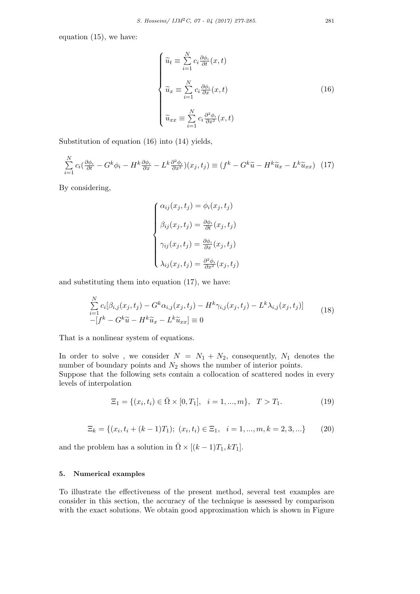equation (15), we have:

$$
\begin{cases}\n\widetilde{u}_t \equiv \sum_{i=1}^N c_i \frac{\partial \phi_i}{\partial t}(x, t) \\
\widetilde{u}_x \equiv \sum_{i=1}^N c_i \frac{\partial \phi_i}{\partial x}(x, t) \\
\widetilde{u}_{xx} \equiv \sum_{i=1}^N c_i \frac{\partial^2 \phi_i}{\partial x^2}(x, t)\n\end{cases} \tag{16}
$$

Substitution of equation (16) into (14) yields,

$$
\sum_{i=1}^{N} c_i \left( \frac{\partial \phi_i}{\partial t} - G^k \phi_i - H^k \frac{\partial \phi_i}{\partial x} - L^k \frac{\partial^2 \phi_i}{\partial x^2} \right) (x_j, t_j) \equiv (f^k - G^k \widetilde{u} - H^k \widetilde{u}_x - L^k \widetilde{u}_{xx}) \tag{17}
$$

By considering,

$$
\begin{cases}\n\alpha_{ij}(x_j, t_j) = \phi_i(x_j, t_j) \\
\beta_{ij}(x_j, t_j) = \frac{\partial \phi_i}{\partial t}(x_j, t_j) \\
\gamma_{ij}(x_j, t_j) = \frac{\partial \phi_i}{\partial x}(x_j, t_j) \\
\lambda_{ij}(x_j, t_j) = \frac{\partial^2 \phi_i}{\partial x^2}(x_j, t_j)\n\end{cases}
$$

and substituting them into equation (17), we have:

$$
\sum_{i=1}^{N} c_i [\beta_{i,j}(x_j, t_j) - G^k \alpha_{i,j}(x_j, t_j) - H^k \gamma_{i,j}(x_j, t_j) - L^k \lambda_{i,j}(x_j, t_j)]
$$
\n
$$
-[f^k - G^k \tilde{u} - H^k \tilde{u}_x - L^k \tilde{u}_{xx}] \equiv 0
$$
\n(18)

That is a nonlinear system of equations.

In order to solve, we consider  $N = N_1 + N_2$ , consequently,  $N_1$  denotes the number of boundary points and  $N_2$  shows the number of interior points. Suppose that the following sets contain a collocation of scattered nodes in every levels of interpolation

$$
\Xi_1 = \{ (x_i, t_i) \in \bar{\Omega} \times [0, T_1], \quad i = 1, ..., m \}, \quad T > T_1.
$$
\n(19)

$$
\Xi_k = \{(x_i, t_i + (k-1)T_1); (x_i, t_i) \in \Xi_1, i = 1, ..., m, k = 2, 3, ...\}
$$
 (20)

and the problem has a solution in  $\overline{\Omega} \times [(k-1)T_1, kT_1].$ 

## 5. Numerical examples

To illustrate the effectiveness of the present method, several test examples are consider in this section, the accuracy of the technique is assessed by comparison with the exact solutions. We obtain good approximation which is shown in Figure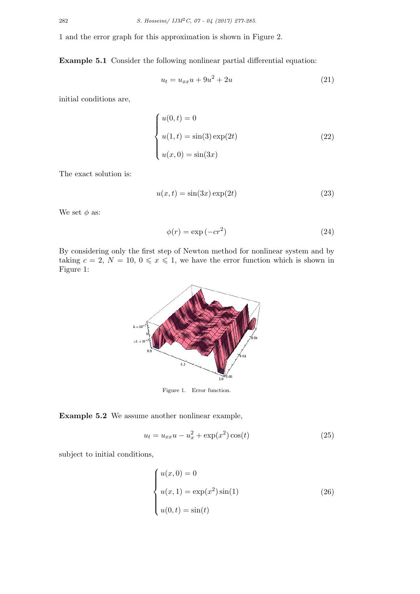1 and the error graph for this approximation is shown in Figure 2.

Example 5.1 Consider the following nonlinear partial differential equation:

$$
u_t = u_{xx}u + 9u^2 + 2u \tag{21}
$$

initial conditions are,

$$
\begin{cases}\n u(0, t) = 0 \\
 u(1, t) = \sin(3) \exp(2t) \\
 u(x, 0) = \sin(3x)\n\end{cases}
$$
\n(22)

The exact solution is:

$$
u(x,t) = \sin(3x)\exp(2t)
$$
\n(23)

We set  $\phi$  as:

$$
\phi(r) = \exp(-cr^2) \tag{24}
$$

By considering only the first step of Newton method for nonlinear system and by taking  $c = 2, N = 10, 0 \le x \le 1$ , we have the error function which is shown in Figure 1:



Figure 1. Error function.

Example 5.2 We assume another nonlinear example,

$$
u_t = u_{xx}u - u_x^2 + \exp(x^2)\cos(t)
$$
 (25)

subject to initial conditions,

$$
\begin{cases}\n u(x,0) = 0 \\
 u(x,1) = \exp(x^2)\sin(1) \\
 u(0,t) = \sin(t)\n\end{cases}
$$
\n(26)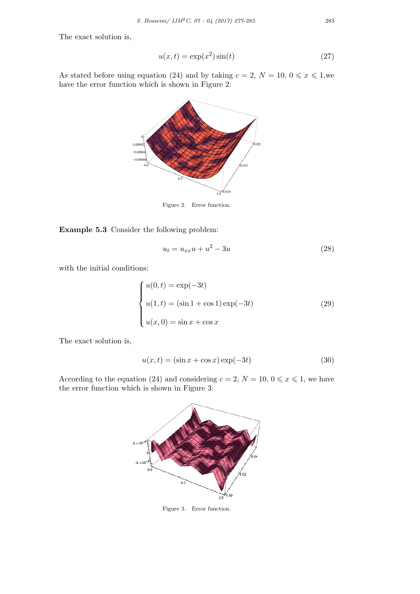The exact solution is,

$$
u(x,t) = \exp(x^2)\sin(t)
$$
\n(27)

As stated before using equation (24) and by taking  $c = 2$ ,  $N = 10$ ,  $0 \le x \le 1$ , we have the error function which is shown in Figure 2:



Figure 2. Error function.

Example 5.3 Consider the following problem:

$$
u_t = u_{xx}u + u^2 - 3u \tag{28}
$$

with the initial conditions:

$$
\begin{cases}\nu(0,t) = \exp(-3t) \\
u(1,t) = (\sin 1 + \cos 1) \exp(-3t) \\
u(x,0) = \sin x + \cos x\n\end{cases}
$$
\n(29)

The exact solution is,

$$
u(x,t) = (\sin x + \cos x)\exp(-3t)
$$
\n(30)

According to the equation (24) and considering  $c = 2, N = 10, 0 \leq x \leq 1$ , we have the error function which is shown in Figure 3:



Figure 3. Error function.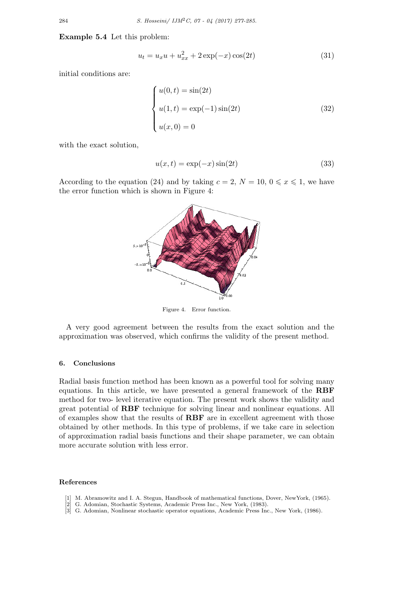Example 5.4 Let this problem:

$$
u_t = u_x u + u_{xx}^2 + 2 \exp(-x) \cos(2t)
$$
 (31)

initial conditions are:

$$
\begin{cases}\n u(0,t) = \sin(2t) \\
 u(1,t) = \exp(-1)\sin(2t) \\
 u(x,0) = 0\n\end{cases}
$$
\n(32)

with the exact solution,

$$
u(x,t) = \exp(-x)\sin(2t)
$$
\n(33)

According to the equation (24) and by taking  $c = 2$ ,  $N = 10$ ,  $0 \le x \le 1$ , we have the error function which is shown in Figure 4:



Figure 4. Error function.

A very good agreement between the results from the exact solution and the approximation was observed, which confirms the validity of the present method.

### 6. Conclusions

Radial basis function method has been known as a powerful tool for solving many equations. In this article, we have presented a general framework of the RBF method for two- level iterative equation. The present work shows the validity and great potential of RBF technique for solving linear and nonlinear equations. All of examples show that the results of RBF are in excellent agreement with those obtained by other methods. In this type of problems, if we take care in selection of approximation radial basis functions and their shape parameter, we can obtain more accurate solution with less error.

#### References

- [1] M. Abramowitz and I. A. Stegun, Handbook of mathematical functions, Dover, NewYork, (1965).
- [2] G. Adomian, Stochastic Systems, Academic Press Inc., New York, (1983).
- [3] G. Adomian, Nonlinear stochastic operator equations, Academic Press Inc., New York, (1986).